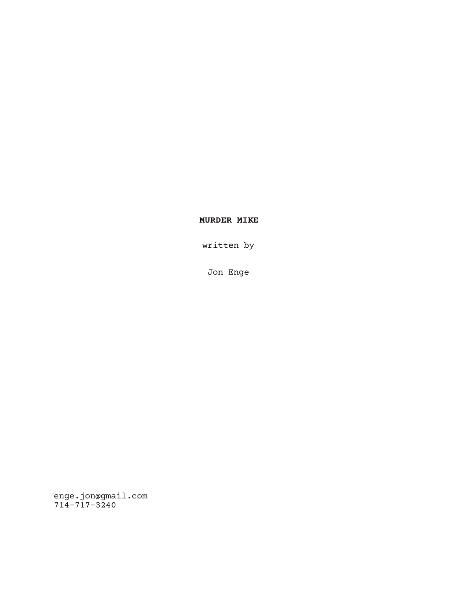# **MURDER MIKE**

written by

Jon Enge

enge.jon@gmail.com 714-717-3240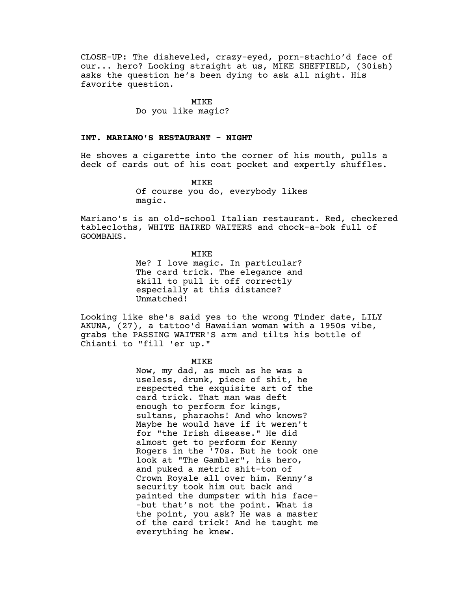CLOSE-UP: The disheveled, crazy-eyed, porn-stachio'd face of our... hero? Looking straight at us, MIKE SHEFFIELD, (30ish) asks the question he's been dying to ask all night. His favorite question.

#### MIKE

# Do you like magic?

# **INT. MARIANO'S RESTAURANT - NIGHT**

He shoves a cigarette into the corner of his mouth, pulls a deck of cards out of his coat pocket and expertly shuffles.

> MIKE Of course you do, everybody likes magic.

Mariano's is an old-school Italian restaurant. Red, checkered tablecloths, WHITE HAIRED WAITERS and chock-a-bok full of GOOMBAHS.

MIKE

Me? I love magic. In particular? The card trick. The elegance and skill to pull it off correctly especially at this distance? Unmatched!

Looking like she's said yes to the wrong Tinder date, LILY AKUNA, (27), a tattoo'd Hawaiian woman with a 1950s vibe, grabs the PASSING WAITER'S arm and tilts his bottle of Chianti to "fill 'er up."

MIKE

Now, my dad, as much as he was a useless, drunk, piece of shit, he respected the exquisite art of the card trick. That man was deft enough to perform for kings, sultans, pharaohs! And who knows? Maybe he would have if it weren't for "the Irish disease." He did almost get to perform for Kenny Rogers in the '70s. But he took one look at "The Gambler", his hero, and puked a metric shit-ton of Crown Royale all over him. Kenny's security took him out back and painted the dumpster with his face- -but that's not the point. What is the point, you ask? He was a master of the card trick! And he taught me everything he knew.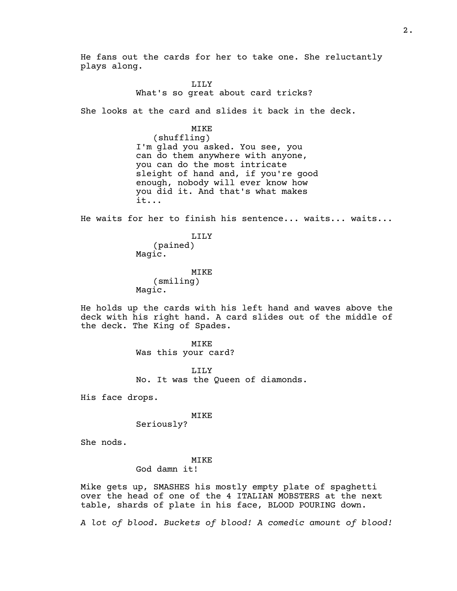He fans out the cards for her to take one. She reluctantly plays along.

> LILY What's so great about card tricks?

She looks at the card and slides it back in the deck.

# MIKE

(shuffling) I'm glad you asked. You see, you can do them anywhere with anyone, you can do the most intricate sleight of hand and, if you're good enough, nobody will ever know how you did it. And that's what makes it...

He waits for her to finish his sentence... waits... waits...

LILY (pained) Magic.

MIKE (smiling) Magic.

He holds up the cards with his left hand and waves above the deck with his right hand. A card slides out of the middle of the deck. The King of Spades.

> MIKE Was this your card?

LILY No. It was the Queen of diamonds.

His face drops.

#### MIKE

Seriously?

She nods.

## MIKE

God damn it!

Mike gets up, SMASHES his mostly empty plate of spaghetti over the head of one of the 4 ITALIAN MOBSTERS at the next table, shards of plate in his face, BLOOD POURING down.

*A lot of blood. Buckets of blood! A comedic amount of blood!*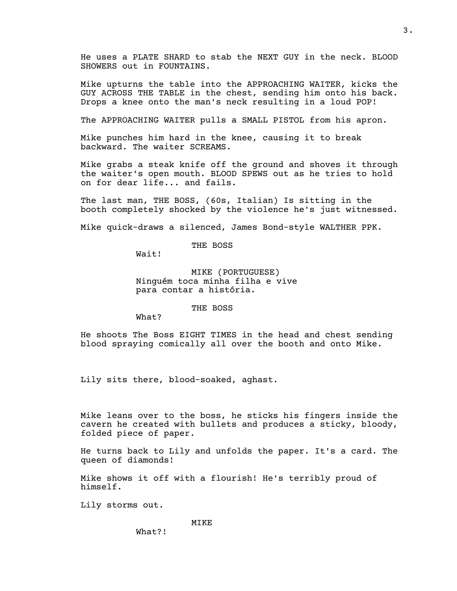He uses a PLATE SHARD to stab the NEXT GUY in the neck. BLOOD SHOWERS out in FOUNTAINS.

Mike upturns the table into the APPROACHING WAITER, kicks the GUY ACROSS THE TABLE in the chest, sending him onto his back. Drops a knee onto the man's neck resulting in a loud POP!

The APPROACHING WAITER pulls a SMALL PISTOL from his apron.

Mike punches him hard in the knee, causing it to break backward. The waiter SCREAMS.

Mike grabs a steak knife off the ground and shoves it through the waiter's open mouth. BLOOD SPEWS out as he tries to hold on for dear life... and fails.

The last man, THE BOSS, (60s, Italian) Is sitting in the booth completely shocked by the violence he's just witnessed.

Mike quick-draws a silenced, James Bond-style WALTHER PPK.

THE BOSS

Wait!

MIKE (PORTUGUESE) Ninguém toca minha filha e vive para contar a história.

THE BOSS

What?

He shoots The Boss EIGHT TIMES in the head and chest sending blood spraying comically all over the booth and onto Mike.

Lily sits there, blood-soaked, aghast.

Mike leans over to the boss, he sticks his fingers inside the cavern he created with bullets and produces a sticky, bloody, folded piece of paper.

He turns back to Lily and unfolds the paper. It's a card. The queen of diamonds!

Mike shows it off with a flourish! He's terribly proud of himself.

Lily storms out.

# MIKE

What?!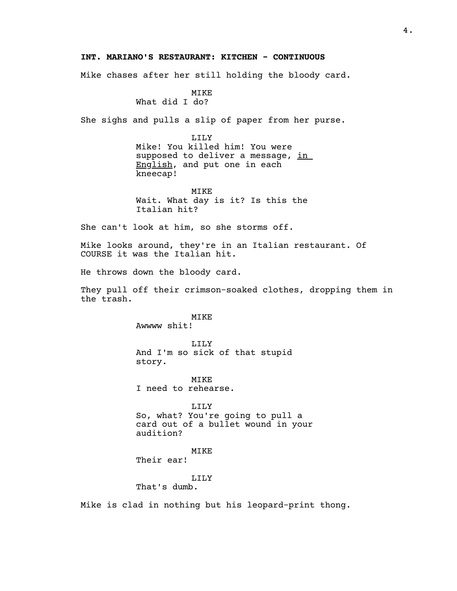# **INT. MARIANO'S RESTAURANT: KITCHEN - CONTINUOUS**

Mike chases after her still holding the bloody card.

#### MIKE What did I do?

She sighs and pulls a slip of paper from her purse.

LILY Mike! You killed him! You were supposed to deliver a message, in English, and put one in each kneecap!

MIKE Wait. What day is it? Is this the Italian hit?

She can't look at him, so she storms off.

Mike looks around, they're in an Italian restaurant. Of COURSE it was the Italian hit.

He throws down the bloody card.

They pull off their crimson-soaked clothes, dropping them in the trash.

> MIKE Awwww shit!

LILY And I'm so sick of that stupid story.

MIKE I need to rehearse.

LILY So, what? You're going to pull a card out of a bullet wound in your audition?

MIKE

Their ear!

## LILY

That's dumb.

Mike is clad in nothing but his leopard-print thong.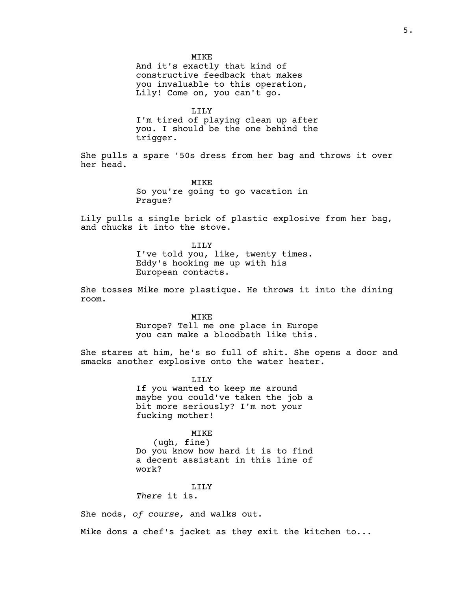MIKE

And it's exactly that kind of constructive feedback that makes you invaluable to this operation, Lily! Come on, you can't go.

LILY

I'm tired of playing clean up after you. I should be the one behind the trigger.

She pulls a spare '50s dress from her bag and throws it over her head.

> MIKE So you're going to go vacation in Prague?

Lily pulls a single brick of plastic explosive from her bag, and chucks it into the stove.

> LILY I've told you, like, twenty times. Eddy's hooking me up with his European contacts.

She tosses Mike more plastique. He throws it into the dining room.

MIKE

Europe? Tell me one place in Europe you can make a bloodbath like this.

She stares at him, he's so full of shit. She opens a door and smacks another explosive onto the water heater.

> LILY If you wanted to keep me around maybe you could've taken the job a bit more seriously? I'm not your fucking mother!

# MIKE

(ugh, fine) Do you know how hard it is to find a decent assistant in this line of work?

LILY

*There* it is.

She nods, *of course,* and walks out.

Mike dons a chef's jacket as they exit the kitchen to...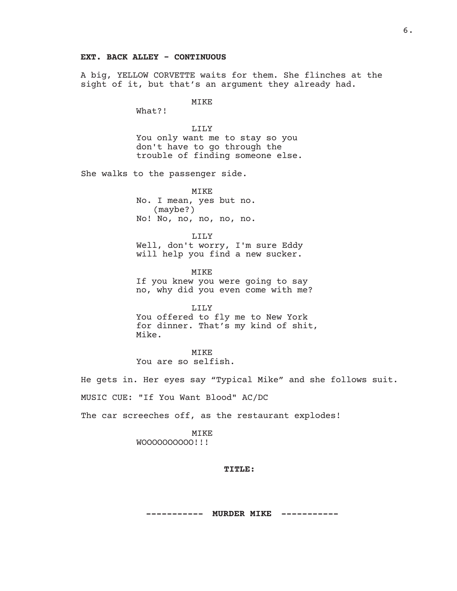# **EXT. BACK ALLEY - CONTINUOUS**

A big, YELLOW CORVETTE waits for them. She flinches at the sight of it, but that's an argument they already had.

MIKE

What?!

LILY You only want me to stay so you don't have to go through the trouble of finding someone else.

She walks to the passenger side.

MIKE No. I mean, yes but no. (maybe?) No! No, no, no, no, no.

LILY Well, don't worry, I'm sure Eddy will help you find a new sucker.

MIKE If you knew you were going to say no, why did you even come with me?

LILY You offered to fly me to New York for dinner. That's my kind of shit, Mike.

MIKE You are so selfish.

He gets in. Her eyes say "Typical Mike" and she follows suit. MUSIC CUE: "If You Want Blood" AC/DC

The car screeches off, as the restaurant explodes!

MIKE WOOOOOOOOOO!!!

# **TITLE:**

**----------- MURDER MIKE -----------**